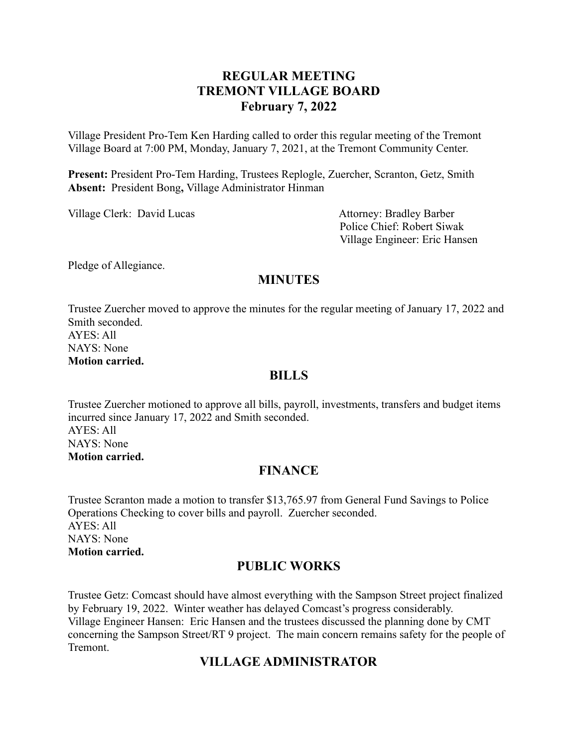# **REGULAR MEETING TREMONT VILLAGE BOARD February 7, 2022**

Village President Pro-Tem Ken Harding called to order this regular meeting of the Tremont Village Board at 7:00 PM, Monday, January 7, 2021, at the Tremont Community Center.

**Present:** President Pro-Tem Harding, Trustees Replogle, Zuercher, Scranton, Getz, Smith **Absent:** President Bong**,** Village Administrator Hinman

Village Clerk: David Lucas Attorney: Bradley Barber

Police Chief: Robert Siwak Village Engineer: Eric Hansen

Pledge of Allegiance.

# **MINUTES**

Trustee Zuercher moved to approve the minutes for the regular meeting of January 17, 2022 and Smith seconded. AYES: All NAYS: None **Motion carried.**

### **BILLS**

Trustee Zuercher motioned to approve all bills, payroll, investments, transfers and budget items incurred since January 17, 2022 and Smith seconded.  $AYES: All$ NAYS: None **Motion carried.**

# **FINANCE**

Trustee Scranton made a motion to transfer \$13,765.97 from General Fund Savings to Police Operations Checking to cover bills and payroll. Zuercher seconded. AYES: All NAYS: None **Motion carried.**

### **PUBLIC WORKS**

Trustee Getz: Comcast should have almost everything with the Sampson Street project finalized by February 19, 2022. Winter weather has delayed Comcast's progress considerably. Village Engineer Hansen: Eric Hansen and the trustees discussed the planning done by CMT concerning the Sampson Street/RT 9 project. The main concern remains safety for the people of Tremont.

# **VILLAGE ADMINISTRATOR**